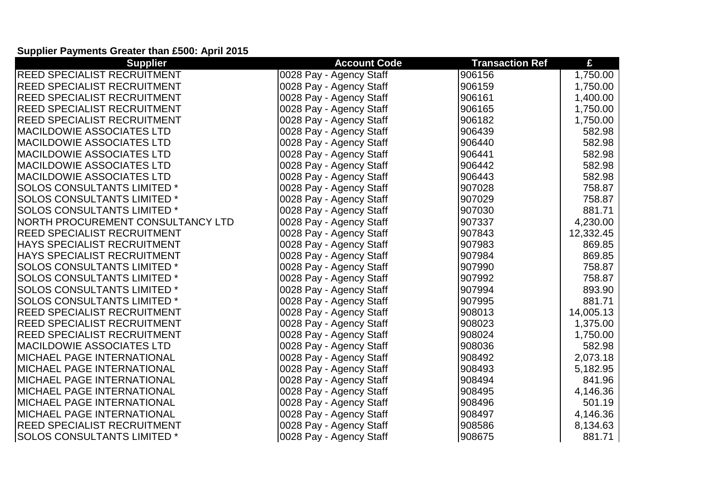## **Supplier Payments Greater than £500: April 2015**

| <b>Supplier</b>                    | <b>Account Code</b>     | <b>Transaction Ref</b> | £         |
|------------------------------------|-------------------------|------------------------|-----------|
| REED SPECIALIST RECRUITMENT        | 0028 Pay - Agency Staff | 906156                 | 1,750.00  |
| <b>REED SPECIALIST RECRUITMENT</b> | 0028 Pay - Agency Staff | 906159                 | 1,750.00  |
| <b>REED SPECIALIST RECRUITMENT</b> | 0028 Pay - Agency Staff | 906161                 | 1,400.00  |
| <b>REED SPECIALIST RECRUITMENT</b> | 0028 Pay - Agency Staff | 906165                 | 1,750.00  |
| <b>REED SPECIALIST RECRUITMENT</b> | 0028 Pay - Agency Staff | 906182                 | 1,750.00  |
| MACILDOWIE ASSOCIATES LTD          | 0028 Pay - Agency Staff | 906439                 | 582.98    |
| <b>MACILDOWIE ASSOCIATES LTD</b>   | 0028 Pay - Agency Staff | 906440                 | 582.98    |
| <b>MACILDOWIE ASSOCIATES LTD</b>   | 0028 Pay - Agency Staff | 906441                 | 582.98    |
| <b>MACILDOWIE ASSOCIATES LTD</b>   | 0028 Pay - Agency Staff | 906442                 | 582.98    |
| <b>MACILDOWIE ASSOCIATES LTD</b>   | 0028 Pay - Agency Staff | 906443                 | 582.98    |
| <b>SOLOS CONSULTANTS LIMITED*</b>  | 0028 Pay - Agency Staff | 907028                 | 758.87    |
| <b>SOLOS CONSULTANTS LIMITED *</b> | 0028 Pay - Agency Staff | 907029                 | 758.87    |
| <b>SOLOS CONSULTANTS LIMITED *</b> | 0028 Pay - Agency Staff | 907030                 | 881.71    |
| NORTH PROCUREMENT CONSULTANCY LTD  | 0028 Pay - Agency Staff | 907337                 | 4,230.00  |
| <b>REED SPECIALIST RECRUITMENT</b> | 0028 Pay - Agency Staff | 907843                 | 12,332.45 |
| HAYS SPECIALIST RECRUITMENT        | 0028 Pay - Agency Staff | 907983                 | 869.85    |
| <b>HAYS SPECIALIST RECRUITMENT</b> | 0028 Pay - Agency Staff | 907984                 | 869.85    |
| <b>SOLOS CONSULTANTS LIMITED *</b> | 0028 Pay - Agency Staff | 907990                 | 758.87    |
| <b>SOLOS CONSULTANTS LIMITED *</b> | 0028 Pay - Agency Staff | 907992                 | 758.87    |
| <b>SOLOS CONSULTANTS LIMITED *</b> | 0028 Pay - Agency Staff | 907994                 | 893.90    |
| <b>SOLOS CONSULTANTS LIMITED *</b> | 0028 Pay - Agency Staff | 907995                 | 881.71    |
| <b>REED SPECIALIST RECRUITMENT</b> | 0028 Pay - Agency Staff | 908013                 | 14,005.13 |
| <b>REED SPECIALIST RECRUITMENT</b> | 0028 Pay - Agency Staff | 908023                 | 1,375.00  |
| <b>REED SPECIALIST RECRUITMENT</b> | 0028 Pay - Agency Staff | 908024                 | 1,750.00  |
| <b>MACILDOWIE ASSOCIATES LTD</b>   | 0028 Pay - Agency Staff | 908036                 | 582.98    |
| <b>MICHAEL PAGE INTERNATIONAL</b>  | 0028 Pay - Agency Staff | 908492                 | 2,073.18  |
| IMICHAEL PAGE INTERNATIONAL        | 0028 Pay - Agency Staff | 908493                 | 5,182.95  |
| MICHAEL PAGE INTERNATIONAL         | 0028 Pay - Agency Staff | 908494                 | 841.96    |
| <b>IMICHAEL PAGE INTERNATIONAL</b> | 0028 Pay - Agency Staff | 908495                 | 4,146.36  |
| <b>MICHAEL PAGE INTERNATIONAL</b>  | 0028 Pay - Agency Staff | 908496                 | 501.19    |
| <b>MICHAEL PAGE INTERNATIONAL</b>  | 0028 Pay - Agency Staff | 908497                 | 4,146.36  |
| REED SPECIALIST RECRUITMENT        | 0028 Pay - Agency Staff | 908586                 | 8,134.63  |
| <b>SOLOS CONSULTANTS LIMITED *</b> | 0028 Pay - Agency Staff | 908675                 | 881.71    |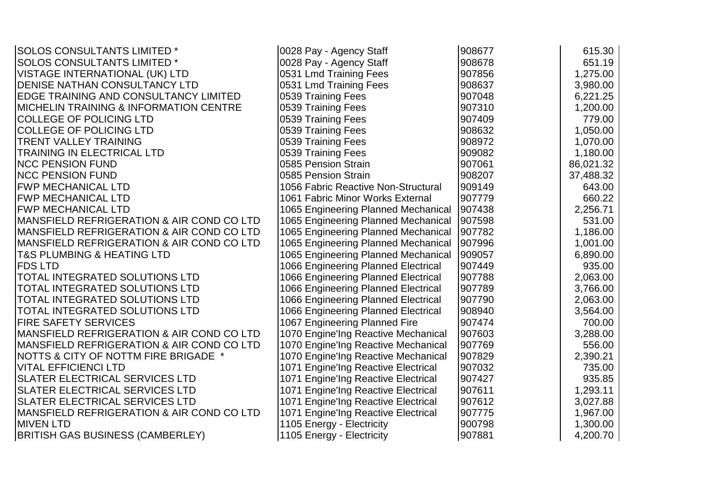| <b>SOLOS CONSULTANTS LIMITED *</b>                | 0028 Pay - Agency Staff             | 908677 | 615.30    |
|---------------------------------------------------|-------------------------------------|--------|-----------|
| <b>SOLOS CONSULTANTS LIMITED*</b>                 | 0028 Pay - Agency Staff             | 908678 | 651.19    |
| <b>VISTAGE INTERNATIONAL (UK) LTD</b>             | 0531 Lmd Training Fees              | 907856 | 1,275.00  |
| DENISE NATHAN CONSULTANCY LTD                     | 0531 Lmd Training Fees              | 908637 | 3,980.00  |
| EDGE TRAINING AND CONSULTANCY LIMITED             | 0539 Training Fees                  | 907048 | 6,221.25  |
| <b>MICHELIN TRAINING &amp; INFORMATION CENTRE</b> | 0539 Training Fees                  | 907310 | 1,200.00  |
| <b>COLLEGE OF POLICING LTD</b>                    | 0539 Training Fees                  | 907409 | 779.00    |
| <b>COLLEGE OF POLICING LTD</b>                    | 0539 Training Fees                  | 908632 | 1,050.00  |
| <b>TRENT VALLEY TRAINING</b>                      | 0539 Training Fees                  | 908972 | 1,070.00  |
| TRAINING IN ELECTRICAL LTD                        | 0539 Training Fees                  | 909082 | 1,180.00  |
| <b>NCC PENSION FUND</b>                           | 0585 Pension Strain                 | 907061 | 86,021.32 |
| <b>NCC PENSION FUND</b>                           | 0585 Pension Strain                 | 908207 | 37,488.32 |
| <b>FWP MECHANICAL LTD</b>                         | 1056 Fabric Reactive Non-Structural | 909149 | 643.00    |
| <b>FWP MECHANICAL LTD</b>                         | 1061 Fabric Minor Works External    | 907779 | 660.22    |
| <b>FWP MECHANICAL LTD</b>                         | 1065 Engineering Planned Mechanical | 907438 | 2,256.71  |
| MANSFIELD REFRIGERATION & AIR COND CO LTD         | 1065 Engineering Planned Mechanical | 907598 | 531.00    |
| MANSFIELD REFRIGERATION & AIR COND CO LTD         | 1065 Engineering Planned Mechanical | 907782 | 1,186.00  |
| MANSFIELD REFRIGERATION & AIR COND CO LTD         | 1065 Engineering Planned Mechanical | 907996 | 1,001.00  |
| <b>T&amp;S PLUMBING &amp; HEATING LTD</b>         | 1065 Engineering Planned Mechanical | 909057 | 6,890.00  |
| <b>FDS LTD</b>                                    | 1066 Engineering Planned Electrical | 907449 | 935.00    |
| TOTAL INTEGRATED SOLUTIONS LTD                    | 1066 Engineering Planned Electrical | 907788 | 2,063.00  |
| TOTAL INTEGRATED SOLUTIONS LTD                    | 1066 Engineering Planned Electrical | 907789 | 3,766.00  |
| <b>TOTAL INTEGRATED SOLUTIONS LTD</b>             | 1066 Engineering Planned Electrical | 907790 | 2,063.00  |
| TOTAL INTEGRATED SOLUTIONS LTD                    | 1066 Engineering Planned Electrical | 908940 | 3,564.00  |
| <b>FIRE SAFETY SERVICES</b>                       | 1067 Engineering Planned Fire       | 907474 | 700.00    |
| MANSFIELD REFRIGERATION & AIR COND CO LTD         | 1070 Engine'Ing Reactive Mechanical | 907603 | 3,288.00  |
| MANSFIELD REFRIGERATION & AIR COND CO LTD         | 1070 Engine'Ing Reactive Mechanical | 907769 | 556.00    |
| NOTTS & CITY OF NOTTM FIRE BRIGADE *              | 1070 Engine'Ing Reactive Mechanical | 907829 | 2,390.21  |
| <b>VITAL EFFICIENCI LTD</b>                       | 1071 Engine'Ing Reactive Electrical | 907032 | 735.00    |
| SLATER ELECTRICAL SERVICES LTD                    | 1071 Engine'Ing Reactive Electrical | 907427 | 935.85    |
| SLATER ELECTRICAL SERVICES LTD                    | 1071 Engine'Ing Reactive Electrical | 907611 | 1,293.11  |
| <b>SLATER ELECTRICAL SERVICES LTD</b>             | 1071 Engine'Ing Reactive Electrical | 907612 | 3,027.88  |
| MANSFIELD REFRIGERATION & AIR COND CO LTD         | 1071 Engine'Ing Reactive Electrical | 907775 | 1,967.00  |
| <b>MIVEN LTD</b>                                  | 1105 Energy - Electricity           | 900798 | 1,300.00  |
| <b>BRITISH GAS BUSINESS (CAMBERLEY)</b>           | 1105 Energy - Electricity           | 907881 | 4,200.70  |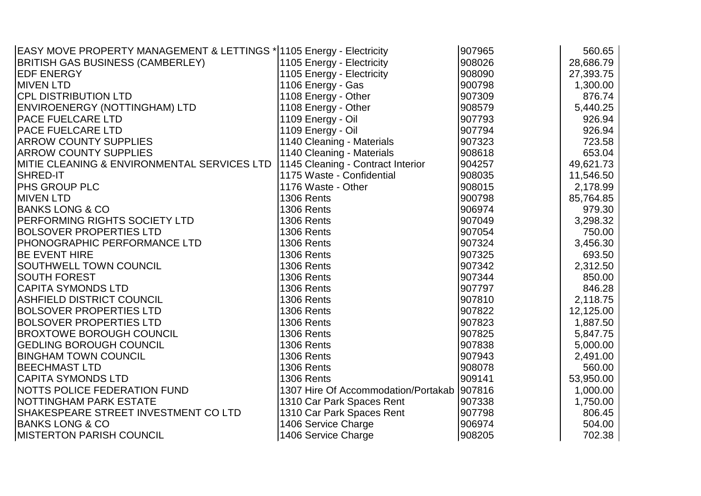| EASY MOVE PROPERTY MANAGEMENT & LETTINGS * 1105 Energy - Electricity |                                     | 907965 | 560.65    |
|----------------------------------------------------------------------|-------------------------------------|--------|-----------|
| <b>BRITISH GAS BUSINESS (CAMBERLEY)</b>                              | 1105 Energy - Electricity           | 908026 | 28,686.79 |
| <b>IEDF ENERGY</b>                                                   | 1105 Energy - Electricity           | 908090 | 27,393.75 |
| <b>MIVEN LTD</b>                                                     | 1106 Energy - Gas                   | 900798 | 1,300.00  |
| <b>CPL DISTRIBUTION LTD</b>                                          | 1108 Energy - Other                 | 907309 | 876.74    |
| ENVIROENERGY (NOTTINGHAM) LTD                                        | 1108 Energy - Other                 | 908579 | 5,440.25  |
| <b>PACE FUELCARE LTD</b>                                             | 1109 Energy - Oil                   | 907793 | 926.94    |
| <b>PACE FUELCARE LTD</b>                                             | 1109 Energy - Oil                   | 907794 | 926.94    |
| <b>ARROW COUNTY SUPPLIES</b>                                         | 1140 Cleaning - Materials           | 907323 | 723.58    |
| <b>ARROW COUNTY SUPPLIES</b>                                         | 1140 Cleaning - Materials           | 908618 | 653.04    |
| MITIE CLEANING & ENVIRONMENTAL SERVICES LTD                          | 1145 Cleaning - Contract Interior   | 904257 | 49,621.73 |
| <b>SHRED-IT</b>                                                      | 1175 Waste - Confidential           | 908035 | 11,546.50 |
| <b>PHS GROUP PLC</b>                                                 | 1176 Waste - Other                  | 908015 | 2,178.99  |
| <b>IMIVEN LTD</b>                                                    | <b>1306 Rents</b>                   | 900798 | 85,764.85 |
| <b>BANKS LONG &amp; CO</b>                                           | <b>1306 Rents</b>                   | 906974 | 979.30    |
| PERFORMING RIGHTS SOCIETY LTD                                        | 1306 Rents                          | 907049 | 3,298.32  |
| <b>BOLSOVER PROPERTIES LTD</b>                                       | 1306 Rents                          | 907054 | 750.00    |
| PHONOGRAPHIC PERFORMANCE LTD                                         | <b>1306 Rents</b>                   | 907324 | 3,456.30  |
| <b>BE EVENT HIRE</b>                                                 | <b>1306 Rents</b>                   | 907325 | 693.50    |
| <b>SOUTHWELL TOWN COUNCIL</b>                                        | <b>1306 Rents</b>                   | 907342 | 2,312.50  |
| <b>SOUTH FOREST</b>                                                  | 1306 Rents                          | 907344 | 850.00    |
| <b>CAPITA SYMONDS LTD</b>                                            | <b>1306 Rents</b>                   | 907797 | 846.28    |
| <b>ASHFIELD DISTRICT COUNCIL</b>                                     | <b>1306 Rents</b>                   | 907810 | 2,118.75  |
| <b>BOLSOVER PROPERTIES LTD</b>                                       | 1306 Rents                          | 907822 | 12,125.00 |
| <b>BOLSOVER PROPERTIES LTD</b>                                       | <b>1306 Rents</b>                   | 907823 | 1,887.50  |
| <b>BROXTOWE BOROUGH COUNCIL</b>                                      | <b>1306 Rents</b>                   | 907825 | 5,847.75  |
| <b>GEDLING BOROUGH COUNCIL</b>                                       | <b>1306 Rents</b>                   | 907838 | 5,000.00  |
| <b>BINGHAM TOWN COUNCIL</b>                                          | 1306 Rents                          | 907943 | 2,491.00  |
| <b>BEECHMAST LTD</b>                                                 | <b>1306 Rents</b>                   | 908078 | 560.00    |
| <b>CAPITA SYMONDS LTD</b>                                            | <b>1306 Rents</b>                   | 909141 | 53,950.00 |
| NOTTS POLICE FEDERATION FUND                                         | 1307 Hire Of Accommodation/Portakab | 907816 | 1,000.00  |
| <b>NOTTINGHAM PARK ESTATE</b>                                        | 1310 Car Park Spaces Rent           | 907338 | 1,750.00  |
| SHAKESPEARE STREET INVESTMENT CO LTD                                 | 1310 Car Park Spaces Rent           | 907798 | 806.45    |
| <b>BANKS LONG &amp; CO</b>                                           | 1406 Service Charge                 | 906974 | 504.00    |
| <b>IMISTERTON PARISH COUNCIL</b>                                     | 1406 Service Charge                 | 908205 | 702.38    |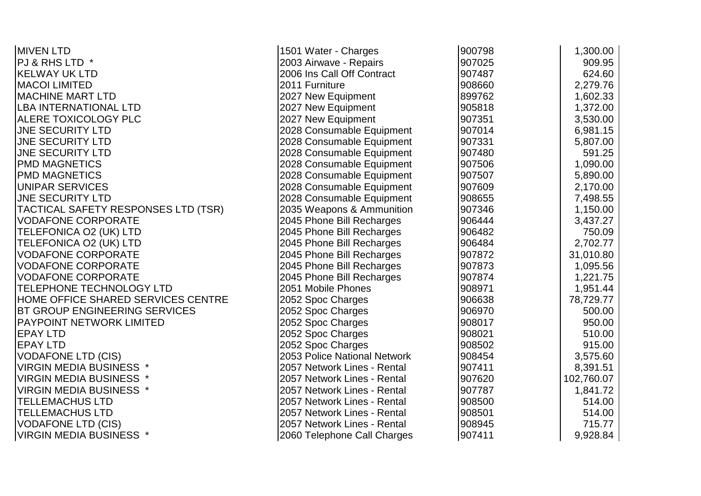| <b>MIVEN LTD</b>                    | 1501 Water - Charges         | 900798 | 1,300.00   |
|-------------------------------------|------------------------------|--------|------------|
| PJ & RHS LTD *                      | 2003 Airwave - Repairs       | 907025 | 909.95     |
| <b>KELWAY UK LTD</b>                | 2006 Ins Call Off Contract   | 907487 | 624.60     |
| <b>MACOI LIMITED</b>                | 2011 Furniture               | 908660 | 2,279.76   |
| <b>MACHINE MART LTD</b>             | 2027 New Equipment           | 899762 | 1,602.33   |
| <b>LBA INTERNATIONAL LTD</b>        | 2027 New Equipment           | 905818 | 1,372.00   |
| ALERE TOXICOLOGY PLC                | 2027 New Equipment           | 907351 | 3,530.00   |
| <b>JNE SECURITY LTD</b>             | 2028 Consumable Equipment    | 907014 | 6,981.15   |
| <b>JNE SECURITY LTD</b>             | 2028 Consumable Equipment    | 907331 | 5,807.00   |
| <b>JNE SECURITY LTD</b>             | 2028 Consumable Equipment    | 907480 | 591.25     |
| <b>PMD MAGNETICS</b>                | 2028 Consumable Equipment    | 907506 | 1,090.00   |
| <b>PMD MAGNETICS</b>                | 2028 Consumable Equipment    | 907507 | 5,890.00   |
| <b>UNIPAR SERVICES</b>              | 2028 Consumable Equipment    | 907609 | 2,170.00   |
| <b>JNE SECURITY LTD</b>             | 2028 Consumable Equipment    | 908655 | 7,498.55   |
| TACTICAL SAFETY RESPONSES LTD (TSR) | 2035 Weapons & Ammunition    | 907346 | 1,150.00   |
| <b>VODAFONE CORPORATE</b>           | 2045 Phone Bill Recharges    | 906444 | 3,437.27   |
| TELEFONICA O2 (UK) LTD              | 2045 Phone Bill Recharges    | 906482 | 750.09     |
| <b>TELEFONICA O2 (UK) LTD</b>       | 2045 Phone Bill Recharges    | 906484 | 2,702.77   |
| <b>VODAFONE CORPORATE</b>           | 2045 Phone Bill Recharges    | 907872 | 31,010.80  |
| <b>VODAFONE CORPORATE</b>           | 2045 Phone Bill Recharges    | 907873 | 1,095.56   |
| <b>VODAFONE CORPORATE</b>           | 2045 Phone Bill Recharges    | 907874 | 1,221.75   |
| TELEPHONE TECHNOLOGY LTD            | 2051 Mobile Phones           | 908971 | 1,951.44   |
| HOME OFFICE SHARED SERVICES CENTRE  | 2052 Spoc Charges            | 906638 | 78,729.77  |
| BT GROUP ENGINEERING SERVICES       | 2052 Spoc Charges            | 906970 | 500.00     |
| PAYPOINT NETWORK LIMITED            | 2052 Spoc Charges            | 908017 | 950.00     |
| <b>EPAY LTD</b>                     | 2052 Spoc Charges            | 908021 | 510.00     |
| <b>EPAY LTD</b>                     | 2052 Spoc Charges            | 908502 | 915.00     |
| <b>VODAFONE LTD (CIS)</b>           | 2053 Police National Network | 908454 | 3,575.60   |
| <b>VIRGIN MEDIA BUSINESS *</b>      | 2057 Network Lines - Rental  | 907411 | 8,391.51   |
| <b>VIRGIN MEDIA BUSINESS *</b>      | 2057 Network Lines - Rental  | 907620 | 102,760.07 |
| <b>VIRGIN MEDIA BUSINESS *</b>      | 2057 Network Lines - Rental  | 907787 | 1,841.72   |
| <b>TELLEMACHUS LTD</b>              | 2057 Network Lines - Rental  | 908500 | 514.00     |
| <b>TELLEMACHUS LTD</b>              | 2057 Network Lines - Rental  | 908501 | 514.00     |
| <b>VODAFONE LTD (CIS)</b>           | 2057 Network Lines - Rental  | 908945 | 715.77     |
| <b>VIRGIN MEDIA BUSINESS *</b>      | 2060 Telephone Call Charges  | 907411 | 9,928.84   |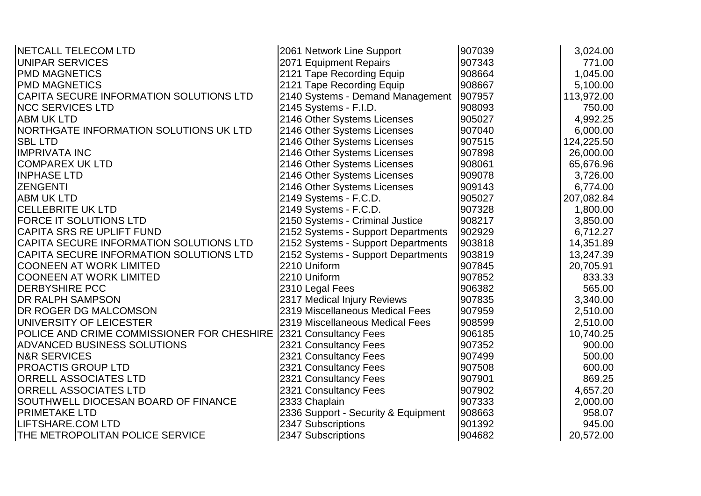| <b>INETCALL TELECOM LTD</b>                | 2061 Network Line Support           | 907039 | 3,024.00   |
|--------------------------------------------|-------------------------------------|--------|------------|
| <b>UNIPAR SERVICES</b>                     | 2071 Equipment Repairs              | 907343 | 771.00     |
| <b>PMD MAGNETICS</b>                       | 2121 Tape Recording Equip           | 908664 | 1,045.00   |
| <b>PMD MAGNETICS</b>                       | 2121 Tape Recording Equip           | 908667 | 5,100.00   |
| CAPITA SECURE INFORMATION SOLUTIONS LTD    | 2140 Systems - Demand Management    | 907957 | 113,972.00 |
| <b>NCC SERVICES LTD</b>                    | 2145 Systems - F.I.D.               | 908093 | 750.00     |
| <b>ABM UK LTD</b>                          | 2146 Other Systems Licenses         | 905027 | 4,992.25   |
| NORTHGATE INFORMATION SOLUTIONS UK LTD     | 2146 Other Systems Licenses         | 907040 | 6,000.00   |
| <b>SBL LTD</b>                             | 2146 Other Systems Licenses         | 907515 | 124,225.50 |
| <b>IMPRIVATA INC</b>                       | 2146 Other Systems Licenses         | 907898 | 26,000.00  |
| <b>COMPAREX UK LTD</b>                     | 2146 Other Systems Licenses         | 908061 | 65,676.96  |
| <b>INPHASE LTD</b>                         | 2146 Other Systems Licenses         | 909078 | 3,726.00   |
| <b>ZENGENTI</b>                            | 2146 Other Systems Licenses         | 909143 | 6,774.00   |
| <b>ABM UK LTD</b>                          | 2149 Systems - F.C.D.               | 905027 | 207,082.84 |
| <b>CELLEBRITE UK LTD</b>                   | 2149 Systems - F.C.D.               | 907328 | 1,800.00   |
| <b>FORCE IT SOLUTIONS LTD</b>              | 2150 Systems - Criminal Justice     | 908217 | 3,850.00   |
| <b>CAPITA SRS RE UPLIFT FUND</b>           | 2152 Systems - Support Departments  | 902929 | 6,712.27   |
| CAPITA SECURE INFORMATION SOLUTIONS LTD    | 2152 Systems - Support Departments  | 903818 | 14,351.89  |
| CAPITA SECURE INFORMATION SOLUTIONS LTD    | 2152 Systems - Support Departments  | 903819 | 13,247.39  |
| <b>COONEEN AT WORK LIMITED</b>             | 2210 Uniform                        | 907845 | 20,705.91  |
| <b>COONEEN AT WORK LIMITED</b>             | 2210 Uniform                        | 907852 | 833.33     |
| <b>DERBYSHIRE PCC</b>                      | 2310 Legal Fees                     | 906382 | 565.00     |
| <b>DR RALPH SAMPSON</b>                    | 2317 Medical Injury Reviews         | 907835 | 3,340.00   |
| <b>DR ROGER DG MALCOMSON</b>               | 2319 Miscellaneous Medical Fees     | 907959 | 2,510.00   |
| UNIVERSITY OF LEICESTER                    | 2319 Miscellaneous Medical Fees     | 908599 | 2,510.00   |
| POLICE AND CRIME COMMISSIONER FOR CHESHIRE | 2321 Consultancy Fees               | 906185 | 10,740.25  |
| <b>ADVANCED BUSINESS SOLUTIONS</b>         | 2321 Consultancy Fees               | 907352 | 900.00     |
| <b>N&amp;R SERVICES</b>                    | 2321 Consultancy Fees               | 907499 | 500.00     |
| <b>PROACTIS GROUP LTD</b>                  | 2321 Consultancy Fees               | 907508 | 600.00     |
| <b>ORRELL ASSOCIATES LTD</b>               | 2321 Consultancy Fees               | 907901 | 869.25     |
| <b>ORRELL ASSOCIATES LTD</b>               | 2321 Consultancy Fees               | 907902 | 4,657.20   |
| SOUTHWELL DIOCESAN BOARD OF FINANCE        | 2333 Chaplain                       | 907333 | 2,000.00   |
| <b>PRIMETAKE LTD</b>                       | 2336 Support - Security & Equipment | 908663 | 958.07     |
| LIFTSHARE.COM LTD                          | 2347 Subscriptions                  | 901392 | 945.00     |
| THE METROPOLITAN POLICE SERVICE            | 2347 Subscriptions                  | 904682 | 20,572.00  |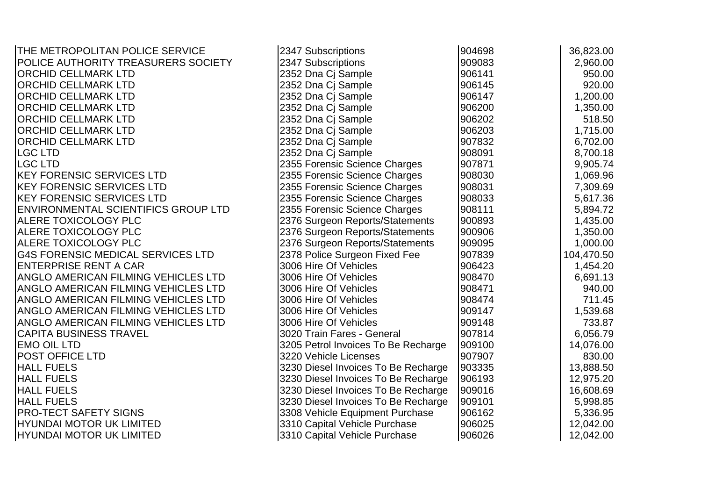| THE METROPOLITAN POLICE SERVICE            | 2347 Subscriptions                  | 904698 | 36,823.00  |
|--------------------------------------------|-------------------------------------|--------|------------|
| POLICE AUTHORITY TREASURERS SOCIETY        | 2347 Subscriptions                  | 909083 | 2,960.00   |
| <b>ORCHID CELLMARK LTD</b>                 | 2352 Dna Cj Sample                  | 906141 | 950.00     |
| <b>ORCHID CELLMARK LTD</b>                 | 2352 Dna Cj Sample                  | 906145 | 920.00     |
| <b>ORCHID CELLMARK LTD</b>                 | 2352 Dna Cj Sample                  | 906147 | 1,200.00   |
| <b>ORCHID CELLMARK LTD</b>                 | 2352 Dna Cj Sample                  | 906200 | 1,350.00   |
| <b>ORCHID CELLMARK LTD</b>                 | 2352 Dna Cj Sample                  | 906202 | 518.50     |
| <b>ORCHID CELLMARK LTD</b>                 | 2352 Dna Cj Sample                  | 906203 | 1,715.00   |
| <b>ORCHID CELLMARK LTD</b>                 | 2352 Dna Ci Sample                  | 907832 | 6,702.00   |
| <b>LGC LTD</b>                             | 2352 Dna Cj Sample                  | 908091 | 8,700.18   |
| <b>LGC LTD</b>                             | 2355 Forensic Science Charges       | 907871 | 9,905.74   |
| <b>IKEY FORENSIC SERVICES LTD</b>          | 2355 Forensic Science Charges       | 908030 | 1,069.96   |
| <b>IKEY FORENSIC SERVICES LTD</b>          | 2355 Forensic Science Charges       | 908031 | 7,309.69   |
| <b>KEY FORENSIC SERVICES LTD</b>           | 2355 Forensic Science Charges       | 908033 | 5,617.36   |
| <b>ENVIRONMENTAL SCIENTIFICS GROUP LTD</b> | 2355 Forensic Science Charges       | 908111 | 5,894.72   |
| <b>ALERE TOXICOLOGY PLC</b>                | 2376 Surgeon Reports/Statements     | 900893 | 1,435.00   |
| <b>ALERE TOXICOLOGY PLC</b>                | 2376 Surgeon Reports/Statements     | 900906 | 1,350.00   |
| <b>ALERE TOXICOLOGY PLC</b>                | 2376 Surgeon Reports/Statements     | 909095 | 1,000.00   |
| <b>G4S FORENSIC MEDICAL SERVICES LTD</b>   | 2378 Police Surgeon Fixed Fee       | 907839 | 104,470.50 |
| <b>ENTERPRISE RENT A CAR</b>               | 3006 Hire Of Vehicles               | 906423 | 1,454.20   |
| <b>ANGLO AMERICAN FILMING VEHICLES LTD</b> | 3006 Hire Of Vehicles               | 908470 | 6,691.13   |
| <b>ANGLO AMERICAN FILMING VEHICLES LTD</b> | 3006 Hire Of Vehicles               | 908471 | 940.00     |
| <b>ANGLO AMERICAN FILMING VEHICLES LTD</b> | 3006 Hire Of Vehicles               | 908474 | 711.45     |
| <b>ANGLO AMERICAN FILMING VEHICLES LTD</b> | 3006 Hire Of Vehicles               | 909147 | 1,539.68   |
| <b>ANGLO AMERICAN FILMING VEHICLES LTD</b> | 3006 Hire Of Vehicles               | 909148 | 733.87     |
| <b>CAPITA BUSINESS TRAVEL</b>              | 3020 Train Fares - General          | 907814 | 6,056.79   |
| <b>EMO OIL LTD</b>                         | 3205 Petrol Invoices To Be Recharge | 909100 | 14,076.00  |
| <b>POST OFFICE LTD</b>                     | 3220 Vehicle Licenses               | 907907 | 830.00     |
| <b>HALL FUELS</b>                          | 3230 Diesel Invoices To Be Recharge | 903335 | 13,888.50  |
| <b>HALL FUELS</b>                          | 3230 Diesel Invoices To Be Recharge | 906193 | 12,975.20  |
| <b>HALL FUELS</b>                          | 3230 Diesel Invoices To Be Recharge | 909016 | 16,608.69  |
| <b>HALL FUELS</b>                          | 3230 Diesel Invoices To Be Recharge | 909101 | 5,998.85   |
| <b>PRO-TECT SAFETY SIGNS</b>               | 3308 Vehicle Equipment Purchase     | 906162 | 5,336.95   |
| <b>HYUNDAI MOTOR UK LIMITED</b>            | 3310 Capital Vehicle Purchase       | 906025 | 12,042.00  |
| HYUNDAI MOTOR UK LIMITED                   | 3310 Capital Vehicle Purchase       | 906026 | 12,042.00  |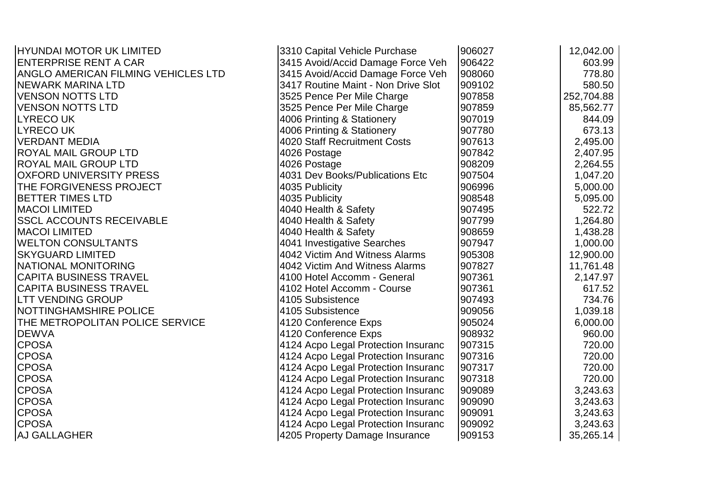| HYUNDAI MOTOR UK LIMITED            | 3310 Capital Vehicle Purchase       | 906027 | 12,042.00  |
|-------------------------------------|-------------------------------------|--------|------------|
| <b>ENTERPRISE RENT A CAR</b>        | 3415 Avoid/Accid Damage Force Veh   | 906422 | 603.99     |
| ANGLO AMERICAN FILMING VEHICLES LTD | 3415 Avoid/Accid Damage Force Veh   | 908060 | 778.80     |
| <b>NEWARK MARINA LTD</b>            | 3417 Routine Maint - Non Drive Slot | 909102 | 580.50     |
| <b>VENSON NOTTS LTD</b>             | 3525 Pence Per Mile Charge          | 907858 | 252,704.88 |
| <b>VENSON NOTTS LTD</b>             | 3525 Pence Per Mile Charge          | 907859 | 85,562.77  |
| <b>LYRECOUK</b>                     | 4006 Printing & Stationery          | 907019 | 844.09     |
| <b>LYRECOUK</b>                     | 4006 Printing & Stationery          | 907780 | 673.13     |
| <b>VERDANT MEDIA</b>                | <b>4020 Staff Recruitment Costs</b> | 907613 | 2,495.00   |
| <b>ROYAL MAIL GROUP LTD</b>         | 4026 Postage                        | 907842 | 2,407.95   |
| <b>ROYAL MAIL GROUP LTD</b>         | 4026 Postage                        | 908209 | 2,264.55   |
| <b>OXFORD UNIVERSITY PRESS</b>      | 4031 Dev Books/Publications Etc     | 907504 | 1,047.20   |
| THE FORGIVENESS PROJECT             | 4035 Publicity                      | 906996 | 5,000.00   |
| <b>BETTER TIMES LTD</b>             | 4035 Publicity                      | 908548 | 5,095.00   |
| <b>MACOI LIMITED</b>                | 4040 Health & Safety                | 907495 | 522.72     |
| <b>SSCL ACCOUNTS RECEIVABLE</b>     | 4040 Health & Safety                | 907799 | 1,264.80   |
| <b>MACOI LIMITED</b>                | 4040 Health & Safety                | 908659 | 1,438.28   |
| <b>WELTON CONSULTANTS</b>           | 4041 Investigative Searches         | 907947 | 1,000.00   |
| <b>SKYGUARD LIMITED</b>             | 4042 Victim And Witness Alarms      | 905308 | 12,900.00  |
| INATIONAL MONITORING                | 4042 Victim And Witness Alarms      | 907827 | 11,761.48  |
| <b>CAPITA BUSINESS TRAVEL</b>       | 4100 Hotel Accomm - General         | 907361 | 2,147.97   |
| <b>CAPITA BUSINESS TRAVEL</b>       | 4102 Hotel Accomm - Course          | 907361 | 617.52     |
| <b>LTT VENDING GROUP</b>            | 4105 Subsistence                    | 907493 | 734.76     |
| <b>NOTTINGHAMSHIRE POLICE</b>       | 4105 Subsistence                    | 909056 | 1,039.18   |
| THE METROPOLITAN POLICE SERVICE     | 4120 Conference Exps                | 905024 | 6,000.00   |
| <b>DEWVA</b>                        | 4120 Conference Exps                | 908932 | 960.00     |
| <b>CPOSA</b>                        | 4124 Acpo Legal Protection Insuranc | 907315 | 720.00     |
| <b>CPOSA</b>                        | 4124 Acpo Legal Protection Insuranc | 907316 | 720.00     |
| <b>CPOSA</b>                        | 4124 Acpo Legal Protection Insuranc | 907317 | 720.00     |
| <b>CPOSA</b>                        | 4124 Acpo Legal Protection Insuranc | 907318 | 720.00     |
| <b>CPOSA</b>                        | 4124 Acpo Legal Protection Insuranc | 909089 | 3,243.63   |
| <b>CPOSA</b>                        | 4124 Acpo Legal Protection Insuranc | 909090 | 3,243.63   |
| <b>CPOSA</b>                        | 4124 Acpo Legal Protection Insuranc | 909091 | 3,243.63   |
| <b>CPOSA</b>                        | 4124 Acpo Legal Protection Insuranc | 909092 | 3,243.63   |
| <b>AJ GALLAGHER</b>                 | 4205 Property Damage Insurance      | 909153 | 35,265.14  |